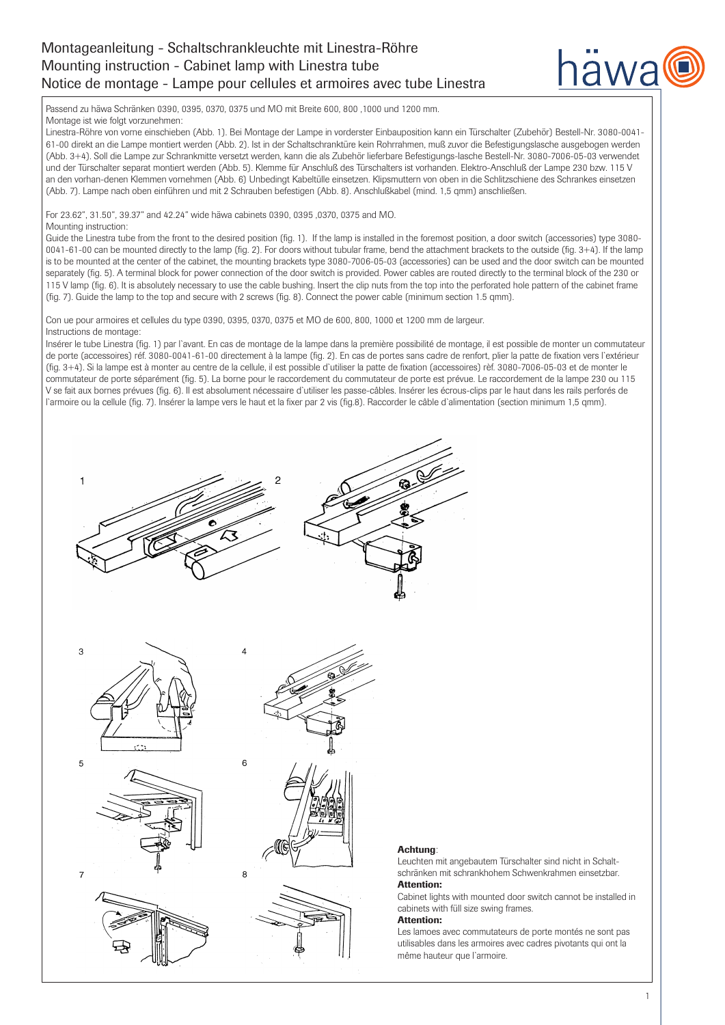# Montageanleitung - Schaltschrankleuchte mit Linestra-Röhre Mounting instruction - Cabinet lamp with Linestra tube Notice de montage - Lampe pour cellules et armoires avec tube Linestra



Passend zu häwa Schränken 0390, 0395, 0370, 0375 und MO mit Breite 600, 800 ,1000 und 1200 mm.

Montage ist wie folgt vorzunehmen:

Linestra-Röhre von vorne einschieben (Abb. 1). Bei Montage der Lampe in vorderster Einbauposition kann ein Türschalter (Zubehör) Bestell-Nr. 3080-0041- 61-00 direkt an die Lampe montiert werden (Abb. 2). Ist in der Schaltschranktüre kein Rohrrahmen, muß zuvor die Befestigungslasche ausgebogen werden (Abb. 3+4). Soll die Lampe zur Schrankmitte versetzt werden, kann die als Zubehör lieferbare Befestigungs-lasche Bestell-Nr. 3080-7006-05-03 verwendet und der Türschalter separat montiert werden (Abb. 5). Klemme für Anschluß des Türschalters ist vorhanden. Elektro-Anschluß der Lampe 230 bzw. 115 V an den vorhan-denen Klemmen vornehmen (Abb. 6) Unbedingt Kabeltülle einsetzen. Klipsmuttern von oben in die Schlitzschiene des Schrankes einsetzen (Abb. 7). Lampe nach oben einführen und mit 2 Schrauben befestigen (Abb. 8). Anschlußkabel (mind. 1,5 qmm) anschließen.

For 23.62", 31.50", 39.37" and 42.24" wide häwa cabinets 0390, 0395 ,0370, 0375 and MO.

### Mounting instruction:

Guide the Linestra tube from the front to the desired position (fig. 1). If the lamp is installed in the foremost position, a door switch (accessories) type 3080- 0041-61-00 can be mounted directly to the lamp (fig. 2). For doors without tubular frame, bend the attachment brackets to the outside (fig. 3+4). If the lamp is to be mounted at the center of the cabinet, the mounting brackets type 3080-7006-05-03 (accessories) can be used and the door switch can be mounted separately (fig. 5). A terminal block for power connection of the door switch is provided. Power cables are routed directly to the terminal block of the 230 or 115 V lamp (fig. 6). It is absolutely necessary to use the cable bushing. Insert the clip nuts from the top into the perforated hole pattern of the cabinet frame (fig. 7). Guide the lamp to the top and secure with 2 screws (fig. 8). Connect the power cable (minimum section 1.5 qmm).

Con ue pour armoires et cellules du type 0390, 0395, 0370, 0375 et MO de 600, 800, 1000 et 1200 mm de largeur. Instructions de montage:

Insérer le tube Linestra (fig. 1) par l`avant. En cas de montage de la lampe dans la première possibilité de montage, il est possible de monter un commutateur de porte (accessoires) réf. 3080-0041-61-00 directement à la lampe (fig. 2). En cas de portes sans cadre de renfort, plier la patte de fixation vers l`extérieur (fig. 3+4). Si la lampe est à monter au centre de la cellule, il est possible d`utiliser la patte de fixation (accessoires) rèf. 3080-7006-05-03 et de monter le commutateur de porte séparément (fig. 5). La borne pour le raccordement du commutateur de porte est prévue. Le raccordement de la lampe 230 ou 115 V se fait aux bornes prévues (fig. 6). Il est absolument nécessaire d`utiliser les passe-câbles. Insérer les écrous-clips par le haut dans les rails perforés de l`armoire ou la cellule (fig. 7). Insérer la lampe vers le haut et la fixer par 2 vis (fig.8). Raccorder le câble d`alimentation (section minimum 1,5 qmm).













F



# Achtung:

Leuchten mit angebautem Türschalter sind nicht in Schaltschränken mit schrankhohem Schwenkrahmen einsetzbar. Attention:

Cabinet lights with mounted door switch cannot be installed in cabinets with füll size swing frames.

### Attention:

Les lamoes avec commutateurs de porte montés ne sont pas utilisables dans les armoires avec cadres pivotants qui ont la même hauteur que l`armoire.